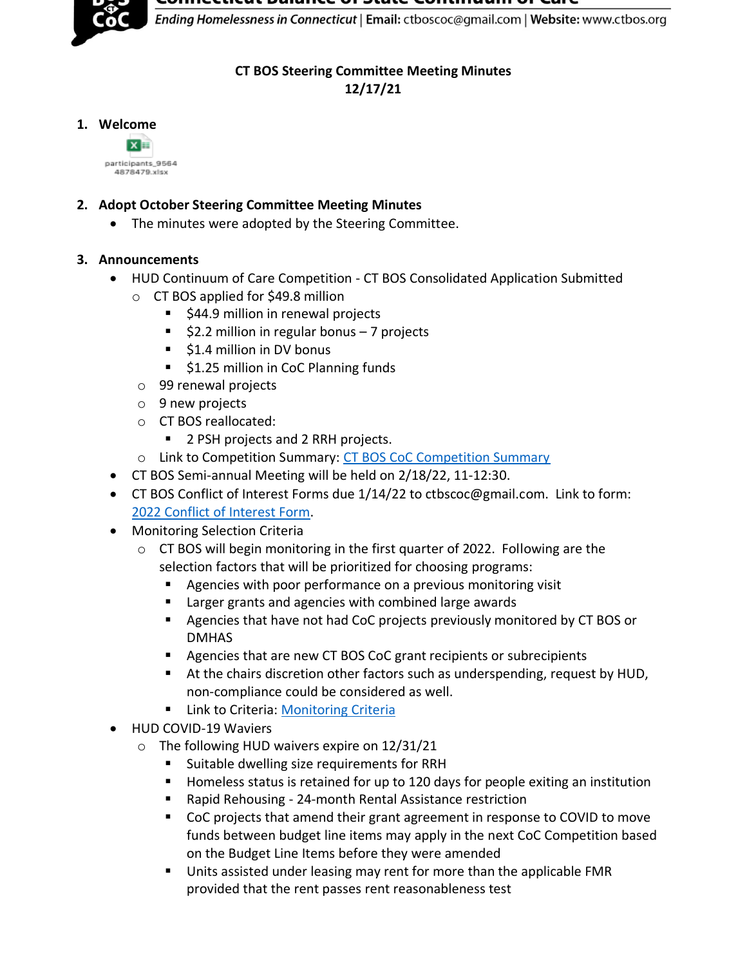ance or state continuum or care



Ending Homelessness in Connecticut | Email: ctboscoc@gmail.com | Website: www.ctbos.org

## **CT BOS Steering Committee Meeting Minutes**

**12/17/21**

## **1. Welcome**



## **2. Adopt October Steering Committee Meeting Minutes**

• The minutes were adopted by the Steering Committee.

# **3. Announcements**

- HUD Continuum of Care Competition CT BOS Consolidated Application Submitted
	- o CT BOS applied for \$49.8 million
		- \$44.9 million in renewal projects
		- $\overline{\phantom{a}}$  \$2.2 million in regular bonus 7 projects
		- \$1.4 million in DV bonus
		- \$1.25 million in CoC Planning funds
	- o 99 renewal projects
	- o 9 new projects
	- o CT BOS reallocated:
		- 2 PSH projects and 2 RRH projects.
	- o Link to Competition Summary: [CT BOS CoC Competition Summary](https://www.ctbos.org/wp-content/uploads/2021/12/2021-CoC-Comp-Summary-CT-BOS-v2.pdf)
- CT BOS Semi-annual Meeting will be held on 2/18/22, 11-12:30.
- CT BOS Conflict of Interest Forms due 1/14/22 to ctbscoc@gmail.com. Link to form: [2022 Conflict of Interest Form.](https://www.ctbos.org/wp-content/uploads/2021/12/2022-CT-BOS-Conflict-of-Interest-Form.docx)
- Monitoring Selection Criteria
	- o CT BOS will begin monitoring in the first quarter of 2022. Following are the selection factors that will be prioritized for choosing programs:
		- Agencies with poor performance on a previous monitoring visit
		- Larger grants and agencies with combined large awards
		- Agencies that have not had CoC projects previously monitored by CT BOS or DMHAS
		- Agencies that are new CT BOS CoC grant recipients or subrecipients
		- At the chairs discretion other factors such as underspending, request by HUD, non-compliance could be considered as well.
		- **E** Link to Criteria: [Monitoring Criteria](https://www.ctbos.org/wp-content/uploads/2020/09/Selection-Criteria-2021-v3.pdf)
- HUD COVID-19 Waviers
	- o The following HUD waivers expire on 12/31/21
		- Suitable dwelling size requirements for RRH
		- Homeless status is retained for up to 120 days for people exiting an institution
		- Rapid Rehousing 24-month Rental Assistance restriction
		- CoC projects that amend their grant agreement in response to COVID to move funds between budget line items may apply in the next CoC Competition based on the Budget Line Items before they were amended
		- Units assisted under leasing may rent for more than the applicable FMR provided that the rent passes rent reasonableness test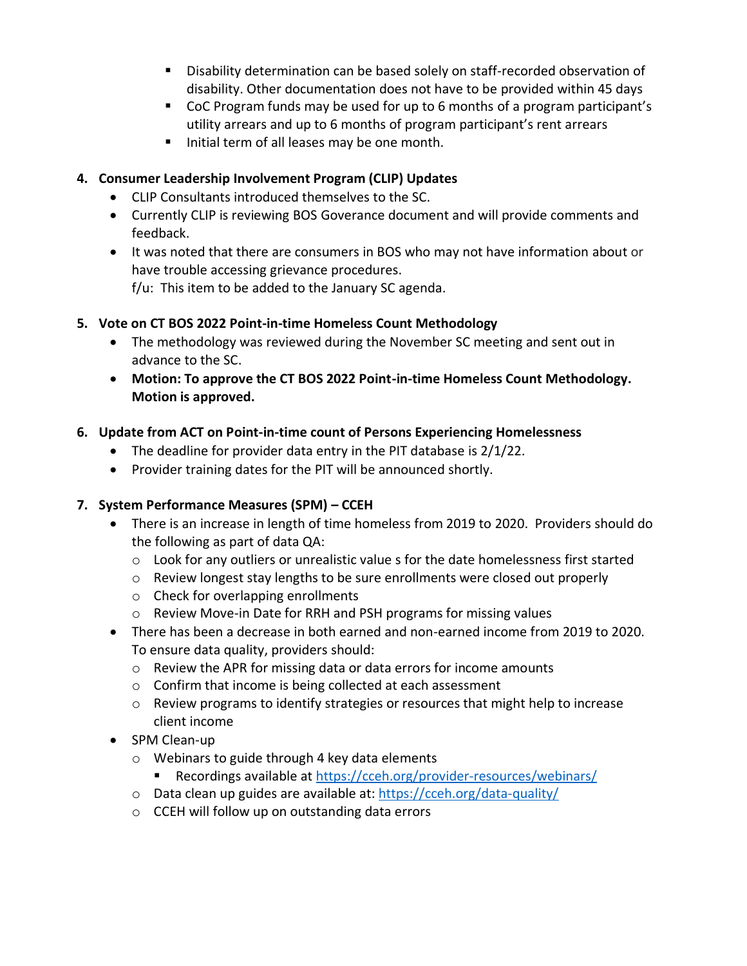- Disability determination can be based solely on staff-recorded observation of disability. Other documentation does not have to be provided within 45 days
- CoC Program funds may be used for up to 6 months of a program participant's utility arrears and up to 6 months of program participant's rent arrears
- Initial term of all leases may be one month.

# **4. Consumer Leadership Involvement Program (CLIP) Updates**

- CLIP Consultants introduced themselves to the SC.
- Currently CLIP is reviewing BOS Goverance document and will provide comments and feedback.
- It was noted that there are consumers in BOS who may not have information about or have trouble accessing grievance procedures. f/u: This item to be added to the January SC agenda.

## **5. Vote on CT BOS 2022 Point-in-time Homeless Count Methodology**

- The methodology was reviewed during the November SC meeting and sent out in advance to the SC.
- **Motion: To approve the CT BOS 2022 Point-in-time Homeless Count Methodology. Motion is approved.**

# **6. Update from ACT on Point-in-time count of Persons Experiencing Homelessness**

- The deadline for provider data entry in the PIT database is 2/1/22.
- Provider training dates for the PIT will be announced shortly.

## **7. System Performance Measures (SPM) – CCEH**

- There is an increase in length of time homeless from 2019 to 2020. Providers should do the following as part of data QA:
	- $\circ$  Look for any outliers or unrealistic value s for the date homelessness first started
	- $\circ$  Review longest stay lengths to be sure enrollments were closed out properly
	- o Check for overlapping enrollments
	- o Review Move-in Date for RRH and PSH programs for missing values
- There has been a decrease in both earned and non-earned income from 2019 to 2020. To ensure data quality, providers should:
	- o Review the APR for missing data or data errors for income amounts
	- o Confirm that income is being collected at each assessment
	- o Review programs to identify strategies or resources that might help to increase client income
- SPM Clean-up
	- o Webinars to guide through 4 key data elements
		- Recordings available at<https://cceh.org/provider-resources/webinars/>
	- o Data clean up guides are available at:<https://cceh.org/data-quality/>
	- o CCEH will follow up on outstanding data errors